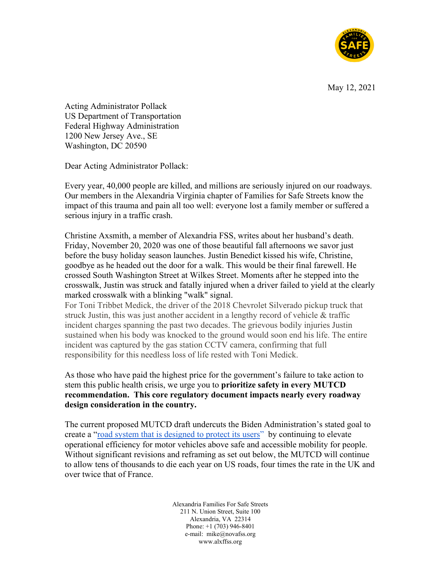

May 12, 2021

Acting Administrator Pollack US Department of Transportation Federal Highway Administration 1200 New Jersey Ave., SE Washington, DC 20590

Dear Acting Administrator Pollack:

Every year, 40,000 people are killed, and millions are seriously injured on our roadways. Our members in the Alexandria Virginia chapter of Families for Safe Streets know the impact of this trauma and pain all too well: everyone lost a family member or suffered a serious injury in a traffic crash.

Christine Axsmith, a member of Alexandria FSS, writes about her husband's death. Friday, November 20, 2020 was one of those beautiful fall afternoons we savor just before the busy holiday season launches. Justin Benedict kissed his wife, Christine, goodbye as he headed out the door for a walk. This would be their final farewell. He crossed South Washington Street at Wilkes Street. Moments after he stepped into the crosswalk, Justin was struck and fatally injured when a driver failed to yield at the clearly marked crosswalk with a blinking "walk" signal.

For Toni Tribbet Medick, the driver of the 2018 Chevrolet Silverado pickup truck that struck Justin, this was just another accident in a lengthy record of vehicle & traffic incident charges spanning the past two decades. The grievous bodily injuries Justin sustained when his body was knocked to the ground would soon end his life. The entire incident was captured by the gas station CCTV camera, confirming that full responsibility for this needless loss of life rested with Toni Medick.

As those who have paid the highest price for the government's failure to take action to stem this public health crisis, we urge you to **prioritize safety in every MUTCD recommendation. This core regulatory document impacts nearly every roadway design consideration in the country.** 

The current proposed MUTCD draft undercuts the Biden Administration's stated goal to create a ["road system that is designed to protect its users"](https://safety.fhwa.dot.gov/zerodeaths/) by continuing to elevate operational efficiency for motor vehicles above safe and accessible mobility for people. Without significant revisions and reframing as set out below, the MUTCD will continue to allow tens of thousands to die each year on US roads, four times the rate in the UK and over twice that of France.

> Alexandria Families For Safe Streets 211 N. Union Street, Suite 100 Alexandria, VA 22314 Phone: +1 (703) 946-8401 e-mail: mike@novafss.org www.alxffss.org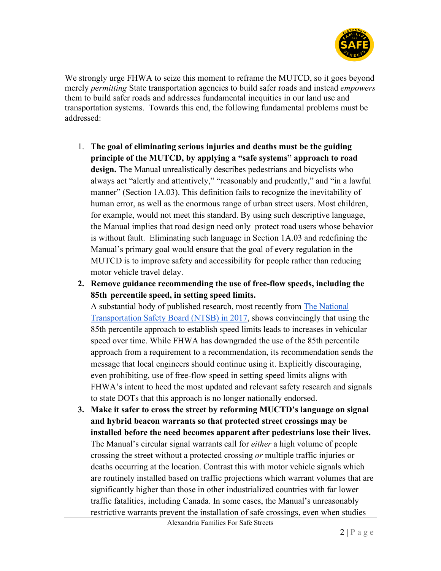

We strongly urge FHWA to seize this moment to reframe the MUTCD, so it goes beyond merely *permitting* State transportation agencies to build safer roads and instead *empowers*  them to build safer roads and addresses fundamental inequities in our land use and transportation systems. Towards this end, the following fundamental problems must be addressed:

- 1. **The goal of eliminating serious injuries and deaths must be the guiding principle of the MUTCD, by applying a "safe systems" approach to road design.** The Manual unrealistically describes pedestrians and bicyclists who always act "alertly and attentively," "reasonably and prudently," and "in a lawful manner" (Section 1A.03). This definition fails to recognize the inevitability of human error, as well as the enormous range of urban street users. Most children, for example, would not meet this standard. By using such descriptive language, the Manual implies that road design need only protect road users whose behavior is without fault. Eliminating such language in Section 1A.03 and redefining the Manual's primary goal would ensure that the goal of every regulation in the MUTCD is to improve safety and accessibility for people rather than reducing motor vehicle travel delay.
- **2. Remove guidance recommending the use of free-flow speeds, including the 85th percentile speed, in setting speed limits.**

A substantial body of published research, most recently from [The National](https://www.ntsb.gov/safety/safety-studies/Documents/SS1701.pdf)  [Transportation Safety Board \(NTSB\) in 2017,](https://www.ntsb.gov/safety/safety-studies/Documents/SS1701.pdf) shows convincingly that using the 85th percentile approach to establish speed limits leads to increases in vehicular speed over time. While FHWA has downgraded the use of the 85th percentile approach from a requirement to a recommendation, its recommendation sends the message that local engineers should continue using it. Explicitly discouraging, even prohibiting, use of free-flow speed in setting speed limits aligns with FHWA's intent to heed the most updated and relevant safety research and signals to state DOTs that this approach is no longer nationally endorsed.

**3. Make it safer to cross the street by reforming MUCTD's language on signal and hybrid beacon warrants so that protected street crossings may be installed before the need becomes apparent after pedestrians lose their lives.** The Manual's circular signal warrants call for *either* a high volume of people crossing the street without a protected crossing *or* multiple traffic injuries or deaths occurring at the location. Contrast this with motor vehicle signals which are routinely installed based on traffic projections which warrant volumes that are significantly higher than those in other industrialized countries with far lower traffic fatalities, including Canada. In some cases, the Manual's unreasonably restrictive warrants prevent the installation of safe crossings, even when studies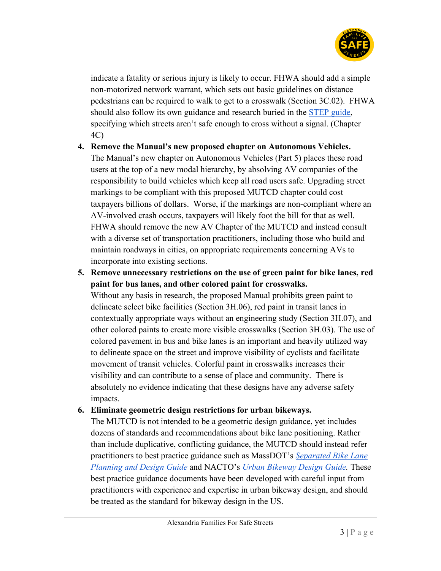

indicate a fatality or serious injury is likely to occur. FHWA should add a simple non-motorized network warrant, which sets out basic guidelines on distance pedestrians can be required to walk to get to a crosswalk (Section 3C.02). FHWA should also follow its own guidance and research buried in the [STEP guide,](https://safety.fhwa.dot.gov/ped_bike/step/resources/docs/fhwasa18064.pdf) specifying which streets aren't safe enough to cross without a signal. (Chapter 4C)

- **4. Remove the Manual's new proposed chapter on Autonomous Vehicles.** The Manual's new chapter on Autonomous Vehicles (Part 5) places these road users at the top of a new modal hierarchy, by absolving AV companies of the responsibility to build vehicles which keep all road users safe. Upgrading street markings to be compliant with this proposed MUTCD chapter could cost taxpayers billions of dollars. Worse, if the markings are non-compliant where an AV-involved crash occurs, taxpayers will likely foot the bill for that as well. FHWA should remove the new AV Chapter of the MUTCD and instead consult with a diverse set of transportation practitioners, including those who build and maintain roadways in cities, on appropriate requirements concerning AVs to incorporate into existing sections.
- **5. Remove unnecessary restrictions on the use of green paint for bike lanes, red paint for bus lanes, and other colored paint for crosswalks.**

Without any basis in research, the proposed Manual prohibits green paint to delineate select bike facilities (Section 3H.06), red paint in transit lanes in contextually appropriate ways without an engineering study (Section 3H.07), and other colored paints to create more visible crosswalks (Section 3H.03). The use of colored pavement in bus and bike lanes is an important and heavily utilized way to delineate space on the street and improve visibility of cyclists and facilitate movement of transit vehicles. Colorful paint in crosswalks increases their visibility and can contribute to a sense of place and community. There is absolutely no evidence indicating that these designs have any adverse safety impacts.

## **6. Eliminate geometric design restrictions for urban bikeways.**

The MUTCD is not intended to be a geometric design guidance, yet includes dozens of standards and recommendations about bike lane positioning. Rather than include duplicative, conflicting guidance, the MUTCD should instead refer practitioners to best practice guidance such as MassDOT's *[Separated Bike Lane](https://www.mass.gov/lists/separated-bike-lane-planning-design-guide)  [Planning and Design Guide](https://www.mass.gov/lists/separated-bike-lane-planning-design-guide)* and NACTO's *[Urban Bikeway Design Guide.](https://nacto.org/publication/urban-bikeway-design-guide/)* These best practice guidance documents have been developed with careful input from practitioners with experience and expertise in urban bikeway design, and should be treated as the standard for bikeway design in the US.